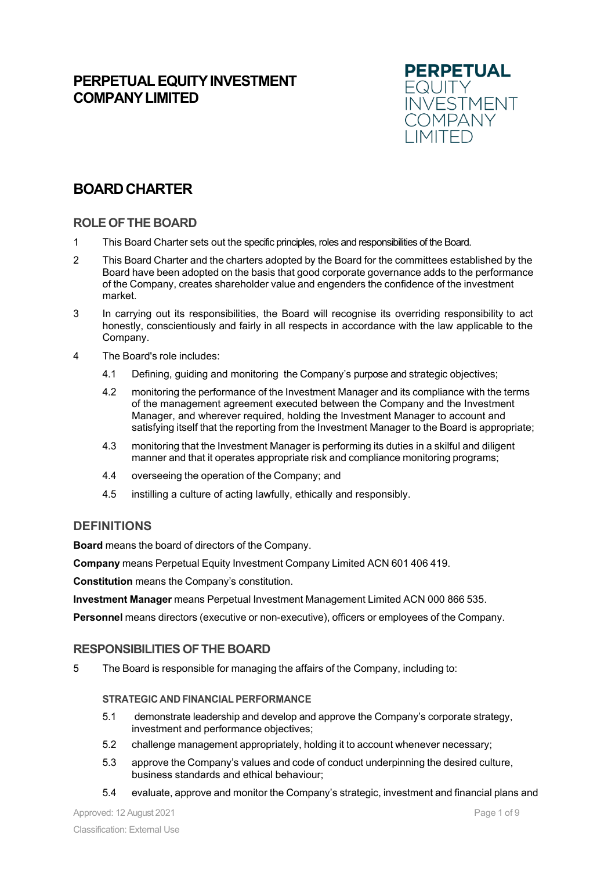# **PERPETUAL EQUITY INVESTMENT COMPANYLIMITED**



# **BOARDCHARTER**

# **ROLE OFTHE BOARD**

- 1 This Board Charter sets out the specific principles, roles and responsibilities of the Board.
- 2 This Board Charter and the charters adopted by the Board for the committees established by the Board have been adopted on the basis that good corporate governance adds to the performance of the Company, creates shareholder value and engenders the confidence of the investment market.
- 3 In carrying out its responsibilities, the Board will recognise its overriding responsibility to act honestly, conscientiously and fairly in all respects in accordance with the law applicable to the Company.
- 4 The Board's role includes:
	- 4.1 Defining, guiding and monitoring the Company's purpose and strategic objectives;
	- 4.2 monitoring the performance of the Investment Manager and its compliance with the terms of the management agreement executed between the Company and the Investment Manager, and wherever required, holding the Investment Manager to account and satisfying itself that the reporting from the Investment Manager to the Board is appropriate;
	- 4.3 monitoring that the Investment Manager is performing its duties in a skilful and diligent manner and that it operates appropriate risk and compliance monitoring programs;
	- 4.4 overseeing the operation of the Company; and
	- 4.5 instilling a culture of acting lawfully, ethically and responsibly.

# **DEFINITIONS**

**Board** means the board of directors of the Company.

**Company** means Perpetual Equity Investment Company Limited ACN 601 406 419.

**Constitution** means the Company's constitution.

**Investment Manager** means Perpetual Investment Management Limited ACN 000 866 535.

**Personnel** means directors (executive or non-executive), officers or employees of the Company.

# **RESPONSIBILITIES OFTHE BOARD**

5 The Board is responsible for managing the affairs of the Company, including to:

## **STRATEGIC AND FINANCIAL PERFORMANCE**

- 5.1 demonstrate leadership and develop and approve the Company's corporate strategy, investment and performance objectives;
- 5.2 challenge management appropriately, holding it to account whenever necessary;
- 5.3 approve the Company's values and code of conduct underpinning the desired culture, business standards and ethical behaviour;
- 5.4 evaluate, approve and monitor the Company's strategic, investment and financial plans and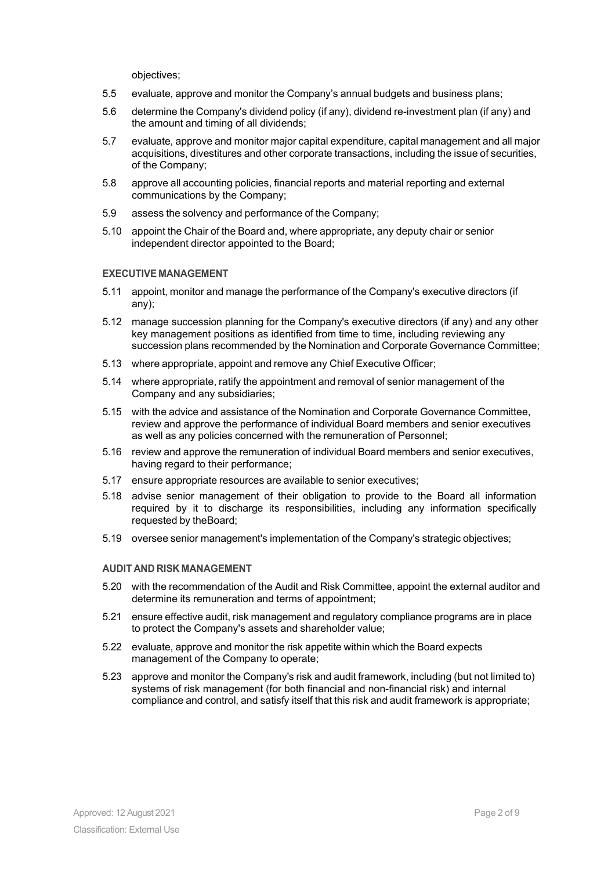objectives;

- 5.5 evaluate, approve and monitor the Company's annual budgets and business plans;
- 5.6 determine the Company's dividend policy (if any), dividend re-investment plan (if any) and the amount and timing of all dividends;
- 5.7 evaluate, approve and monitor major capital expenditure, capital management and all major acquisitions, divestitures and other corporate transactions, including the issue of securities, of the Company;
- 5.8 approve all accounting policies, financial reports and material reporting and external communications by the Company;
- 5.9 assess the solvency and performance of the Company;
- 5.10 appoint the Chair of the Board and, where appropriate, any deputy chair or senior independent director appointed to the Board;

#### **EXECUTIVE MANAGEMENT**

- 5.11 appoint, monitor and manage the performance of the Company's executive directors (if any);
- 5.12 manage succession planning for the Company's executive directors (if any) and any other key management positions as identified from time to time, including reviewing any succession plans recommended by the Nomination and Corporate Governance Committee;
- 5.13 where appropriate, appoint and remove any Chief Executive Officer;
- 5.14 where appropriate, ratify the appointment and removal of senior management of the Company and any subsidiaries;
- 5.15 with the advice and assistance of the Nomination and Corporate Governance Committee, review and approve the performance of individual Board members and senior executives as well as any policies concerned with the remuneration of Personnel;
- 5.16 review and approve the remuneration of individual Board members and senior executives, having regard to their performance;
- 5.17 ensure appropriate resources are available to senior executives;
- 5.18 advise senior management of their obligation to provide to the Board all information required by it to discharge its responsibilities, including any information specifically requested by theBoard;
- 5.19 oversee senior management's implementation of the Company's strategic objectives;

#### **AUDIT AND RISK MANAGEMENT**

- 5.20 with the recommendation of the Audit and Risk Committee, appoint the external auditor and determine its remuneration and terms of appointment;
- 5.21 ensure effective audit, risk management and regulatory compliance programs are in place to protect the Company's assets and shareholder value;
- 5.22 evaluate, approve and monitor the risk appetite within which the Board expects management of the Company to operate;
- 5.23 approve and monitor the Company's risk and audit framework, including (but not limited to) systems of risk management (for both financial and non-financial risk) and internal compliance and control, and satisfy itself that this risk and audit framework is appropriate;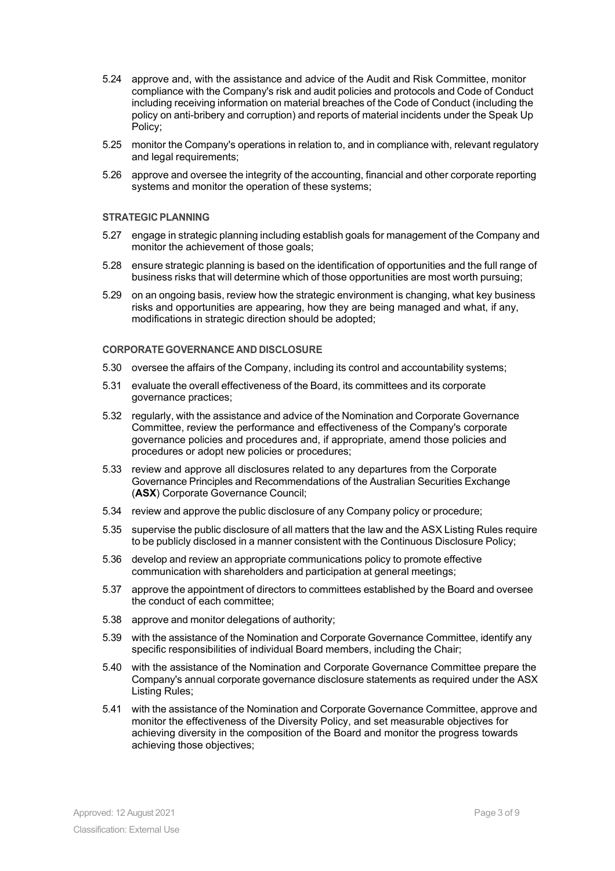- 5.24 approve and, with the assistance and advice of the Audit and Risk Committee, monitor compliance with the Company's risk and audit policies and protocols and Code of Conduct including receiving information on material breaches of the Code of Conduct (including the policy on anti-bribery and corruption) and reports of material incidents under the Speak Up Policy;
- 5.25 monitor the Company's operations in relation to, and in compliance with, relevant regulatory and legal requirements:
- 5.26 approve and oversee the integrity of the accounting, financial and other corporate reporting systems and monitor the operation of these systems;

## **STRATEGIC PLANNING**

- 5.27 engage in strategic planning including establish goals for management of the Company and monitor the achievement of those goals;
- 5.28 ensure strategic planning is based on the identification of opportunities and the full range of business risks that will determine which of those opportunities are most worth pursuing;
- 5.29 on an ongoing basis, review how the strategic environment is changing, what key business risks and opportunities are appearing, how they are being managed and what, if any, modifications in strategic direction should be adopted;

#### **CORPORATE GOVERNANCE AND DISCLOSURE**

- 5.30 oversee the affairs of the Company, including its control and accountability systems;
- 5.31 evaluate the overall effectiveness of the Board, its committees and its corporate governance practices;
- 5.32 regularly, with the assistance and advice of the Nomination and Corporate Governance Committee, review the performance and effectiveness of the Company's corporate governance policies and procedures and, if appropriate, amend those policies and procedures or adopt new policies or procedures;
- 5.33 review and approve all disclosures related to any departures from the Corporate Governance Principles and Recommendations of the Australian Securities Exchange (**ASX**) Corporate Governance Council;
- 5.34 review and approve the public disclosure of any Company policy or procedure;
- 5.35 supervise the public disclosure of all matters that the law and the ASX Listing Rules require to be publicly disclosed in a manner consistent with the Continuous Disclosure Policy;
- 5.36 develop and review an appropriate communications policy to promote effective communication with shareholders and participation at general meetings;
- 5.37 approve the appointment of directors to committees established by the Board and oversee the conduct of each committee;
- 5.38 approve and monitor delegations of authority;
- 5.39 with the assistance of the Nomination and Corporate Governance Committee, identify any specific responsibilities of individual Board members, including the Chair;
- 5.40 with the assistance of the Nomination and Corporate Governance Committee prepare the Company's annual corporate governance disclosure statements as required under the ASX Listing Rules;
- 5.41 with the assistance of the Nomination and Corporate Governance Committee, approve and monitor the effectiveness of the Diversity Policy, and set measurable objectives for achieving diversity in the composition of the Board and monitor the progress towards achieving those objectives;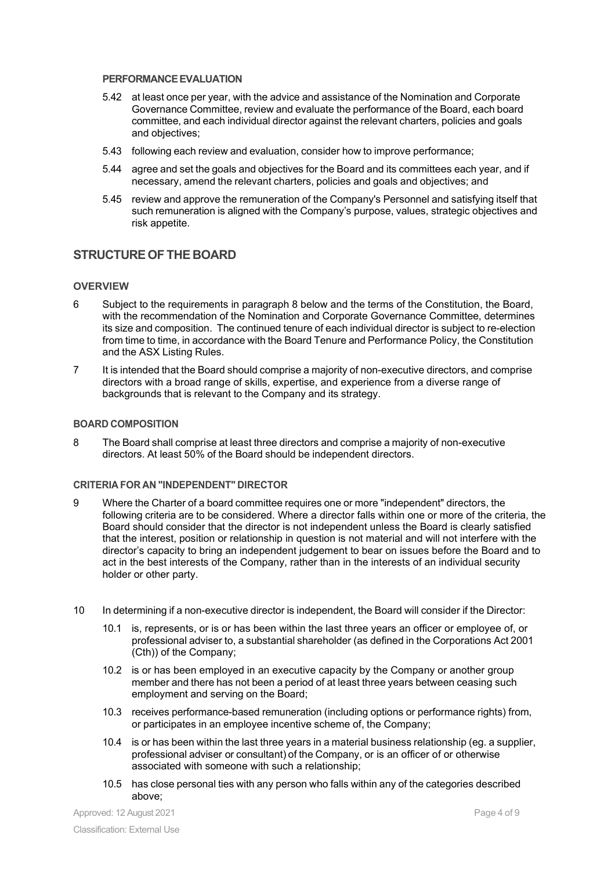#### **PERFORMANCEEVALUATION**

- 5.42 at least once per year, with the advice and assistance of the Nomination and Corporate Governance Committee, review and evaluate the performance of the Board, each board committee, and each individual director against the relevant charters, policies and goals and objectives;
- 5.43 following each review and evaluation, consider how to improve performance;
- 5.44 agree and set the goals and objectives for the Board and its committees each year, and if necessary, amend the relevant charters, policies and goals and objectives; and
- 5.45 review and approve the remuneration of the Company's Personnel and satisfying itself that such remuneration is aligned with the Company's purpose, values, strategic objectives and risk appetite.

# **STRUCTUREOF THE BOARD**

#### **OVERVIEW**

- 6 Subject to the requirements in paragraph 8 below and the terms of the Constitution, the Board, with the recommendation of the Nomination and Corporate Governance Committee, determines its size and composition. The continued tenure of each individual director is subject to re-election from time to time, in accordance with the Board Tenure and Performance Policy, the Constitution and the ASX Listing Rules.
- 7 It is intended that the Board should comprise a majority of non-executive directors, and comprise directors with a broad range of skills, expertise, and experience from a diverse range of backgrounds that is relevant to the Company and its strategy.

#### **BOARD COMPOSITION**

8 The Board shall comprise at least three directors and comprise a majority of non-executive directors. At least 50% of the Board should be independent directors.

#### **CRITERIA FOR AN "INDEPENDENT" DIRECTOR**

- 9 Where the Charter of a board committee requires one or more "independent" directors, the following criteria are to be considered. Where a director falls within one or more of the criteria, the Board should consider that the director is not independent unless the Board is clearly satisfied that the interest, position or relationship in question is not material and will not interfere with the director's capacity to bring an independent judgement to bear on issues before the Board and to act in the best interests of the Company, rather than in the interests of an individual security holder or other party.
- 10 In determining if a non-executive director is independent, the Board will consider if the Director:
	- 10.1 is, represents, or is or has been within the last three years an officer or employee of, or professional adviser to, a substantial shareholder (as defined in the Corporations Act 2001 (Cth)) of the Company;
	- 10.2 is or has been employed in an executive capacity by the Company or another group member and there has not been a period of at least three years between ceasing such employment and serving on the Board;
	- 10.3 receives performance-based remuneration (including options or performance rights) from, or participates in an employee incentive scheme of, the Company;
	- 10.4 is or has been within the last three years in a material business relationship (eg. a supplier, professional adviser or consultant) of the Company, or is an officer of or otherwise associated with someone with such a relationship;
	- 10.5 has close personal ties with any person who falls within any of the categories described above;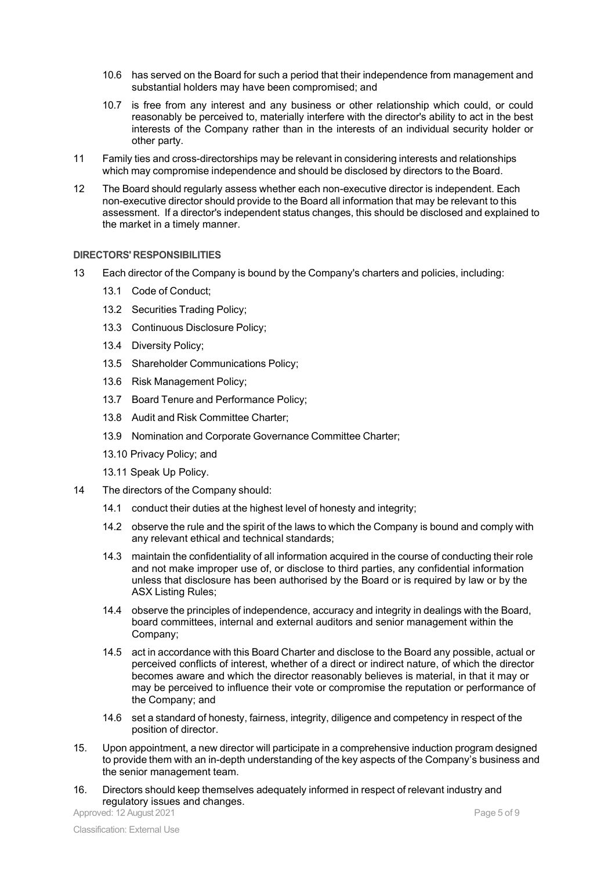- 10.6 has served on the Board for such a period that their independence from management and substantial holders may have been compromised; and
- 10.7 is free from any interest and any business or other relationship which could, or could reasonably be perceived to, materially interfere with the director's ability to act in the best interests of the Company rather than in the interests of an individual security holder or other party.
- 11 Family ties and cross-directorships may be relevant in considering interests and relationships which may compromise independence and should be disclosed by directors to the Board.
- 12 The Board should regularly assess whether each non-executive director is independent. Each non-executive director should provide to the Board all information that may be relevant to this assessment. If a director's independent status changes, this should be disclosed and explained to the market in a timely manner.

#### **DIRECTORS' RESPONSIBILITIES**

- 13 Each director of the Company is bound by the Company's charters and policies, including:
	- 13.1 Code of Conduct;
	- 13.2 Securities Trading Policy;
	- 13.3 Continuous Disclosure Policy;
	- 13.4 Diversity Policy;
	- 13.5 Shareholder Communications Policy;
	- 13.6 Risk Management Policy;
	- 13.7 Board Tenure and Performance Policy;
	- 13.8 Audit and Risk Committee Charter;
	- 13.9 Nomination and Corporate Governance Committee Charter;
	- 13.10 Privacy Policy; and
	- 13.11 Speak Up Policy.
- 14 The directors of the Company should:
	- 14.1 conduct their duties at the highest level of honesty and integrity;
	- 14.2 observe the rule and the spirit of the laws to which the Company is bound and comply with any relevant ethical and technical standards;
	- 14.3 maintain the confidentiality of all information acquired in the course of conducting their role and not make improper use of, or disclose to third parties, any confidential information unless that disclosure has been authorised by the Board or is required by law or by the ASX Listing Rules;
	- 14.4 observe the principles of independence, accuracy and integrity in dealings with the Board, board committees, internal and external auditors and senior management within the Company;
	- 14.5 act in accordance with this Board Charter and disclose to the Board any possible, actual or perceived conflicts of interest, whether of a direct or indirect nature, of which the director becomes aware and which the director reasonably believes is material, in that it may or may be perceived to influence their vote or compromise the reputation or performance of the Company; and
	- 14.6 set a standard of honesty, fairness, integrity, diligence and competency in respect of the position of director.
- 15. Upon appointment, a new director will participate in a comprehensive induction program designed to provide them with an in-depth understanding of the key aspects of the Company's business and the senior management team.
- 16. Directors should keep themselves adequately informed in respect of relevant industry and regulatory issues and changes.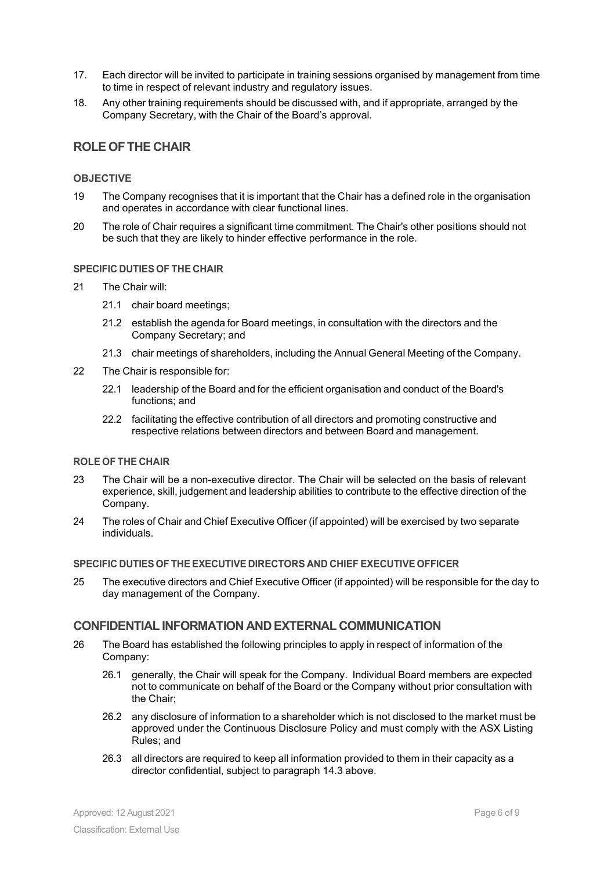- 17. Each director will be invited to participate in training sessions organised by management from time to time in respect of relevant industry and regulatory issues.
- 18. Any other training requirements should be discussed with, and if appropriate, arranged by the Company Secretary, with the Chair of the Board's approval.

# **ROLE OFTHE CHAIR**

#### **OBJECTIVE**

- 19 The Company recognises that it is important that the Chair has a defined role in the organisation and operates in accordance with clear functional lines.
- 20 The role of Chair requires a significant time commitment. The Chair's other positions should not be such that they are likely to hinder effective performance in the role.

#### **SPECIFIC DUTIES OF THE CHAIR**

- 21 The Chair will:
	- 21.1 chair board meetings;
	- 21.2 establish the agenda for Board meetings, in consultation with the directors and the Company Secretary; and
	- 21.3 chair meetings of shareholders, including the Annual General Meeting of the Company.
- 22 The Chair is responsible for:
	- 22.1 leadership of the Board and for the efficient organisation and conduct of the Board's functions; and
	- 22.2 facilitating the effective contribution of all directors and promoting constructive and respective relations between directors and between Board and management.

#### **ROLE OF THE CHAIR**

- 23 The Chair will be a non-executive director. The Chair will be selected on the basis of relevant experience, skill, judgement and leadership abilities to contribute to the effective direction of the Company.
- 24 The roles of Chair and Chief Executive Officer (if appointed) will be exercised by two separate individuals.

#### **SPECIFIC DUTIES OF THE EXECUTIVE DIRECTORS AND CHIEF EXECUTIVE OFFICER**

25 The executive directors and Chief Executive Officer (if appointed) will be responsible for the day to day management of the Company.

## **CONFIDENTIAL INFORMATION AND EXTERNAL COMMUNICATION**

- 26 The Board has established the following principles to apply in respect of information of the Company:
	- 26.1 generally, the Chair will speak for the Company. Individual Board members are expected not to communicate on behalf of the Board or the Company without prior consultation with the Chair;
	- 26.2 any disclosure of information to a shareholder which is not disclosed to the market must be approved under the Continuous Disclosure Policy and must comply with the ASX Listing Rules; and
	- 26.3 all directors are required to keep all information provided to them in their capacity as a director confidential, subject to paragraph 14.3 above.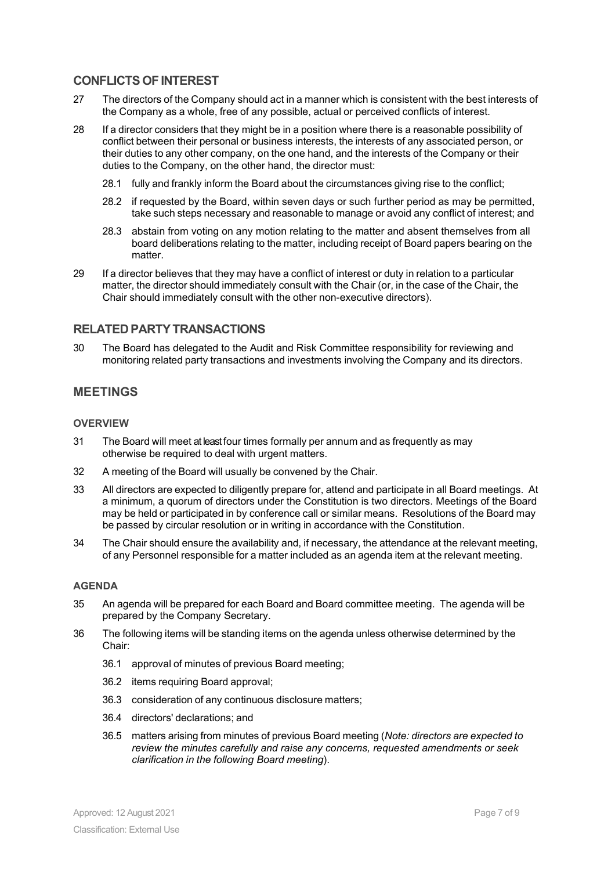# **CONFLICTSOFINTEREST**

- 27 The directors of the Company should act in a manner which is consistent with the best interests of the Company as a whole, free of any possible, actual or perceived conflicts of interest.
- 28 If a director considers that they might be in a position where there is a reasonable possibility of conflict between their personal or business interests, the interests of any associated person, or their duties to any other company, on the one hand, and the interests of the Company or their duties to the Company, on the other hand, the director must:
	- 28.1 fully and frankly inform the Board about the circumstances giving rise to the conflict;
	- 28.2 if requested by the Board, within seven days or such further period as may be permitted, take such steps necessary and reasonable to manage or avoid any conflict of interest; and
	- 28.3 abstain from voting on any motion relating to the matter and absent themselves from all board deliberations relating to the matter, including receipt of Board papers bearing on the matter.
- 29 If a director believes that they may have a conflict of interest or duty in relation to a particular matter, the director should immediately consult with the Chair (or, in the case of the Chair, the Chair should immediately consult with the other non-executive directors).

# **RELATED PARTYTRANSACTIONS**

30 The Board has delegated to the Audit and Risk Committee responsibility for reviewing and monitoring related party transactions and investments involving the Company and its directors.

# **MEETINGS**

#### **OVERVIEW**

- 31 The Board will meet at least four times formally per annum and as frequently as may otherwise be required to deal with urgent matters.
- 32 A meeting of the Board will usually be convened by the Chair.
- 33 All directors are expected to diligently prepare for, attend and participate in all Board meetings. At a minimum, a quorum of directors under the Constitution is two directors. Meetings of the Board may be held or participated in by conference call or similar means. Resolutions of the Board may be passed by circular resolution or in writing in accordance with the Constitution.
- 34 The Chair should ensure the availability and, if necessary, the attendance at the relevant meeting, of any Personnel responsible for a matter included as an agenda item at the relevant meeting.

#### **AGENDA**

- 35 An agenda will be prepared for each Board and Board committee meeting. The agenda will be prepared by the Company Secretary.
- 36 The following items will be standing items on the agenda unless otherwise determined by the Chair:
	- 36.1 approval of minutes of previous Board meeting;
	- 36.2 items requiring Board approval;
	- 36.3 consideration of any continuous disclosure matters;
	- 36.4 directors' declarations; and
	- 36.5 matters arising from minutes of previous Board meeting (*Note: directors are expected to review the minutes carefully and raise any concerns, requested amendments or seek clarification in the following Board meeting*).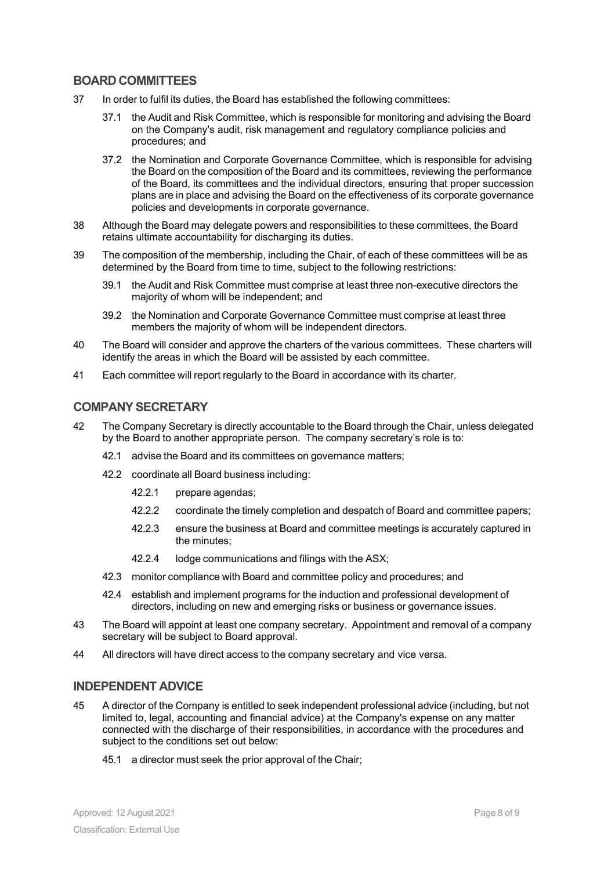# **BOARD COMMITTEES**

- 37 In order to fulfil its duties, the Board has established the following committees:
	- 37.1 the Audit and Risk Committee, which is responsible for monitoring and advising the Board on the Company's audit, risk management and regulatory compliance policies and procedures; and
	- 37.2 the Nomination and Corporate Governance Committee, which is responsible for advising the Board on the composition of the Board and its committees, reviewing the performance of the Board, its committees and the individual directors, ensuring that proper succession plans are in place and advising the Board on the effectiveness of its corporate governance policies and developments in corporate governance.
- 38 Although the Board may delegate powers and responsibilities to these committees, the Board retains ultimate accountability for discharging its duties.
- 39 The composition of the membership, including the Chair, of each of these committees will be as determined by the Board from time to time, subject to the following restrictions:
	- 39.1 the Audit and Risk Committee must comprise at least three non-executive directors the majority of whom will be independent; and
	- 39.2 the Nomination and Corporate Governance Committee must comprise at least three members the majority of whom will be independent directors.
- 40 The Board will consider and approve the charters of the various committees. These charters will identify the areas in which the Board will be assisted by each committee.
- 41 Each committee will report regularly to the Board in accordance with its charter.

# **COMPANYSECRETARY**

- 42 The Company Secretary is directly accountable to the Board through the Chair, unless delegated by the Board to another appropriate person. The company secretary's role is to:
	- 42.1 advise the Board and its committees on governance matters;
	- 42.2 coordinate all Board business including:
		- 42.2.1 prepare agendas;
		- 42.2.2 coordinate the timely completion and despatch of Board and committee papers;
		- 42.2.3 ensure the business at Board and committee meetings is accurately captured in the minutes;
		- 42.2.4 lodge communications and filings with the ASX;
	- 42.3 monitor compliance with Board and committee policy and procedures; and
	- 42.4 establish and implement programs for the induction and professional development of directors, including on new and emerging risks or business or governance issues.
- 43 The Board will appoint at least one company secretary. Appointment and removal of a company secretary will be subject to Board approval.
- 44 All directors will have direct access to the company secretary and vice versa.

#### **INDEPENDENT ADVICE**

- 45 A director of the Company is entitled to seek independent professional advice (including, but not limited to, legal, accounting and financial advice) at the Company's expense on any matter connected with the discharge of their responsibilities, in accordance with the procedures and subject to the conditions set out below:
	- 45.1 a director must seek the prior approval of the Chair;